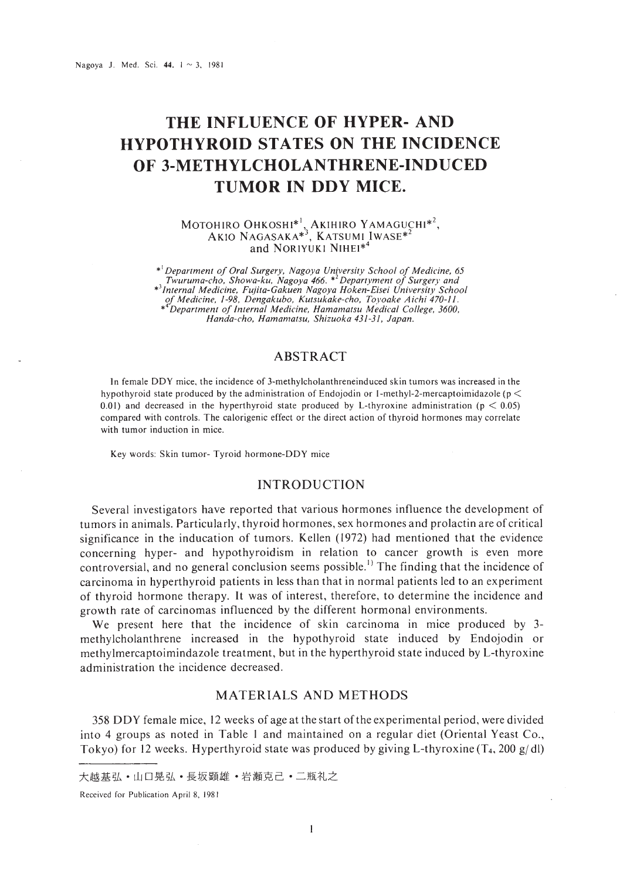# **THE INFLUENCE OF HYPER- AND HYPOTHYROID STATES ON THE INCIDENCE OF 3-METHYLCHOLANTHRENE-INDUCED TUMOR IN DDY MICE.**

MOTOHIRO OHKOSHI\*', AKIHIRO YAMAGUCHI\*', AKIO NAGASAKA\*3, KATSUMI IWASE\*2 and NORIYUKI NIHEI\*'

\*<sup>1</sup> Department of Oral Surgery, Nagoya University School of Medicine, 65<br>Twuruma-cho, Showa-ku, Nagoya 466. \*<sup>2</sup> Departyment of Surgery and<br>\*<sup>3</sup> Internal Medicine, Fujita-Gakuen Nagoya Hoken-Eisei University School<br>of Med *Handa-cho. Hamamatsu. Shizuoka* 431-31. *Japan.*

## ABSTRACT

In female DDY mice. the incidence of 3-methylcholanthreneinduced skin tumors was increased in the hypothyroid state produced by the administration of Endojodin or 1-methyl-2-mercaptoimidazole ( $p \leq$ 0.01) and decreased in the hyperthyroid state produced by L-thyroxine administration ( $p < 0.05$ ) compared with controls. The calorigenic effect or the direct action of thyroid hormones may correlate with tumor induction in mice.

Key words: Skin tumor- Tyroid hormone-DDY mice

### INTRODUCTION

Several investigators have reported that various hormones influence the development of tumors in animals. Particularly, thyroid hormones, sex hormones and prolactin are of critical significance in the inducation of tumors. Kellen (1972) had mentioned that the evidence concerning hyper- and hypothyroidism in relation to cancer growth is even more controversial, and no general conclusion seems possible.<sup>1)</sup> The finding that the incidence of carcinoma in hyperthyroid patients in less than that in normal patients led to an ex periment of thyroid hormone therapy. It was of interest, therefore, to determine the incidence and growth rate of carcinomas influenced by the different hormonal environments.

We present here that the incidence of skin carcinoma in mice produced by 3methylcholanthrene increased in the hypothyroid state induced by Endojodin or methylmercaptoimindazole treatment, but in the hyperthyroid state induced by L-thyroxine administration the incidence decreased.

### MATERIALS AND METHODS

358 DDY female mice, 12 weeks of age at the start of the experimental period, were divided into 4 groups as noted in Table I and maintained on a regular diet (Oriental Yeast Co., Tokyo) for 12 weeks. Hyperthyroid state was produced by giving L-thyroxine  $(T_4, 200 \text{ g/dl})$ 

大越基弘·山口晃弘·長坂顕雄·岩瀬克己·二瓶礼之

Received for Publication April 8. 1981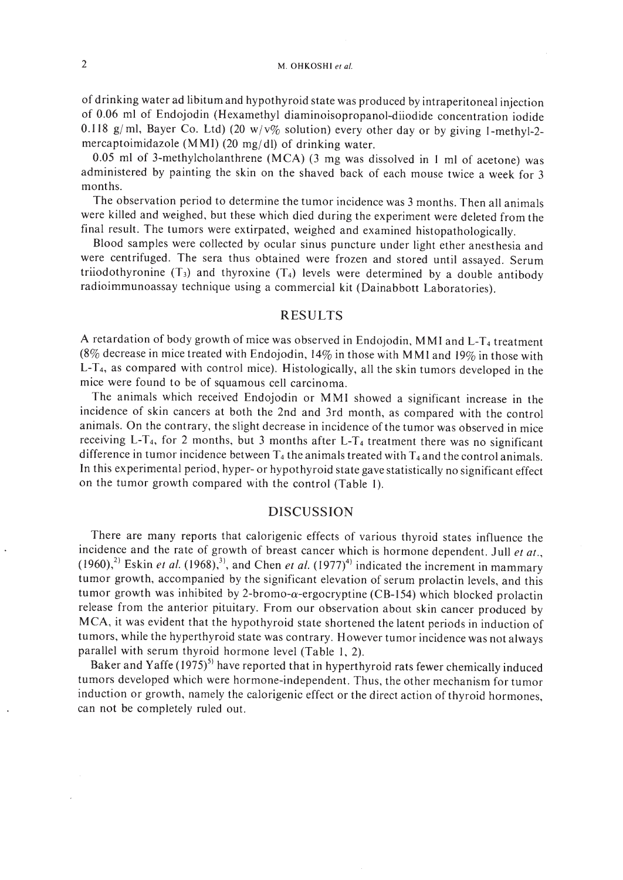of drinking water ad libitum and hypothyroid state was produced by intraperitoneal injection of 0.06 ml of Endojodin (Hexamethyl diaminoisopropanol-diiodide concentration iodide 0.118 g/ml, Bayer Co. Ltd) (20  $w/v\%$  solution) every other day or by giving 1-methyl-2mercaptoimidazole (MMI) (20 mg/dl) of drinking water.

0.05 ml of 3-methylcholanthrene (MCA) (3 mg was dissolved in 1 ml of acetone) was administered by painting the skin on the shaved back of each mouse twice a week for 3 months.

The observation period to determine the tumor incidence was 3 months. Then all animals were killed and weighed, but these which died during the experiment were deleted from the final result. The tumors were extirpated, weighed and examined histopathologically.

Blood samples were collected by ocular sinus puncture under light ether anesthesia and were centrifuged. The sera thus obtained were frozen and stored until assayed. Serum triiodothyronine  $(T_3)$  and thyroxine  $(T_4)$  levels were determined by a double antibody radioimmunoassay technique using a commercial kit (Dainabbott Laboratories).

### RESULTS

A retardation of body growth of mice was observed in Endojodin, MMI and L-T<sub>4</sub> treatment (8% decrease in mice treated with Endojodin, 14% in those with MMI and 19% in those with L-T<sub>4</sub>, as compared with control mice). Histologically, all the skin tumors developed in the mice were found to be of squamous cell carcinoma.

The animals which received Endojodin or MMI showed a significant increase in the incidence of skin cancers at both the 2nd and 3rd month, as compared with the control animals. On the contrary, the slight decrease in incidence of the tumor was observed in mice receiving L-T<sub>4</sub>, for 2 months, but 3 months after L-T<sub>4</sub> treatment there was no significant difference in tumor incidence between  $T_4$  the animals treated with  $T_4$  and the control animals. **In** this experimental period, hyper- or hypothyroid state gave statistically no significant effect on the tumor growth compared with the control (Table I).

#### DISCUSSION

There are many reports that calorigenic effects of various thyroid states influence the incidence and the rate of growth of breast cancer which is hormone dependent. Jull et at.,  $(1960)$ ,<sup>2)</sup> Eskin *et al.* (1968),<sup>3)</sup>, and Chen *et al.*  $(1977)$ <sup>4)</sup> indicated the increment in mammary tumor growth, accompanied by the significant elevation of serum prolactin levels, and this tumor growth was inhibited by 2-bromo- $\alpha$ -ergocryptine (CB-154) which blocked prolactin release from the anterior pituitary. From our observation about skin cancer produced by MCA, it was evident that the hypothyroid state shortened the latent periods in induction of tumors, while the hyperthyroid state was contrary. However tumor incidence was not always parallel with serum thyroid hormone level (Table 1, 2).

Baker and Yaffe  $(1975)^{5}$  have reported that in hyperthyroid rats fewer chemically induced tumors developed which were hormone-independent. Thus, the other mechanism for tumor induction or growth, namely the calorigenic effect or the direct action of thyroid hormones, can not be completely ruled out.